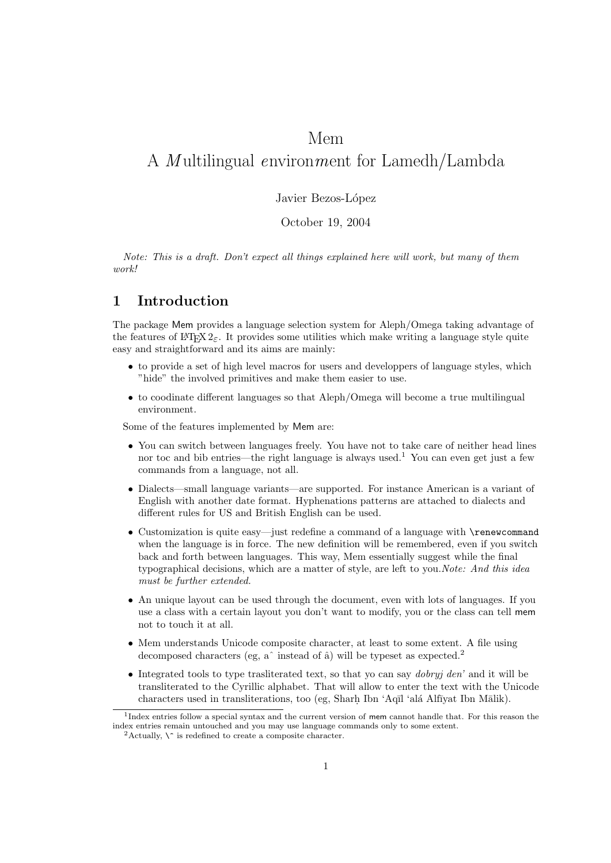# Mem A *M* ultilingual environment for Lamedh/Lambda

## Javier Bezos-López

## October 19, 2004

Note: This is a draft. Don't expect all things explained here will work, but many of them work!

## 1 Introduction

The package Mem provides a language selection system for Aleph/Omega taking advantage of the features of  $\text{ETr} \Sigma_2$ . It provides some utilities which make writing a language style quite easy and straightforward and its aims are mainly:

- to provide a set of high level macros for users and developpers of language styles, which "hide" the involved primitives and make them easier to use.
- to coodinate different languages so that Aleph/Omega will become a true multilingual environment.

Some of the features implemented by Mem are:

- You can switch between languages freely. You have not to take care of neither head lines nor toc and bib entries—the right language is always used.<sup>1</sup> You can even get just a few commands from a language, not all.
- Dialects—small language variants—are supported. For instance American is a variant of English with another date format. Hyphenations patterns are attached to dialects and different rules for US and British English can be used.
- Customization is quite easy—just redefine a command of a language with \renewcommand when the language is in force. The new definition will be remembered, even if you switch back and forth between languages. This way, Mem essentially suggest while the final typographical decisions, which are a matter of style, are left to you.*Note: And this idea* must be further extended.
- An unique layout can be used through the document, even with lots of languages. If you use a class with a certain layout you don't want to modify, you or the class can tell mem not to touch it at all.
- Mem understands Unicode composite character, at least to some extent. A file using decomposed characters (eg,  $a^{\hat{}}$  instead of  $\hat{a}$ ) will be typeset as expected.<sup>2</sup>
- Integrated tools to type trasliterated text, so that yo can say *dobryj den'* and it will be transliterated to the Cyrillic alphabet. That will allow to enter the text with the Unicode  $\alpha$ characters used in transliterations, too (eg, Sharh Ibn 'Aqīl 'alá Alfīyat Ibn Mālik).

<sup>&</sup>lt;sup>1</sup>Index entries follow a special syntax and the current version of mem cannot handle that. For this reason the index entries remain untouched and you may use language commands only to some extent.

<sup>&</sup>lt;sup>2</sup>Actually,  $\hat{\ }$  is redefined to create a composite character.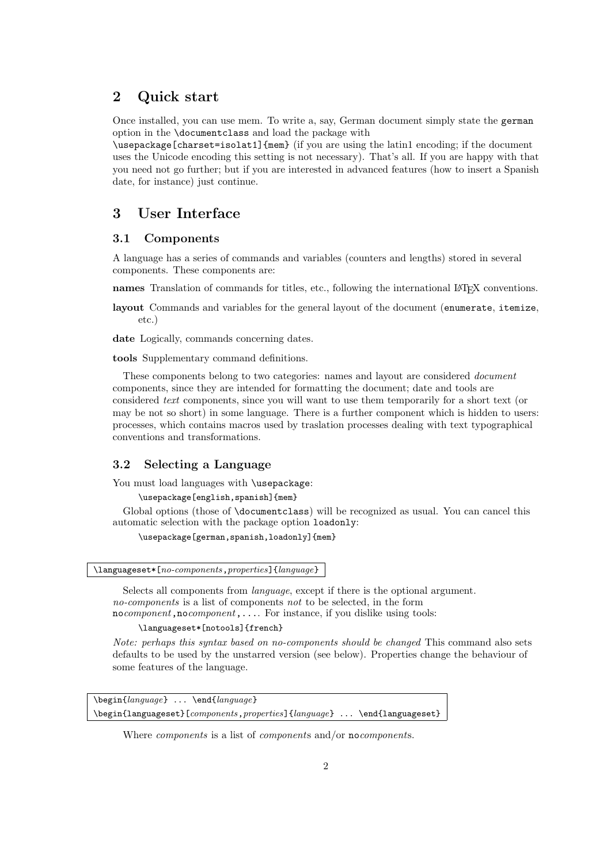## 2 Quick start

Once installed, you can use mem. To write a, say, German document simply state the german option in the \documentclass and load the package with

\usepackage[charset=isolat1]{mem} (if you are using the latin1 encoding; if the document uses the Unicode encoding this setting is not necessary). That's all. If you are happy with that you need not go further; but if you are interested in advanced features (how to insert a Spanish date, for instance) just continue.

## 3 User Interface

## 3.1 Components

A language has a series of commands and variables (counters and lengths) stored in several components. These components are:

names Translation of commands for titles, etc., following the international LATEX conventions.

layout Commands and variables for the general layout of the document (enumerate, itemize, etc.)

date Logically, commands concerning dates.

tools Supplementary command definitions.

These components belong to two categories: names and layout are considered document components, since they are intended for formatting the document; date and tools are considered text components, since you will want to use them temporarily for a short text (or may be not so short) in some language. There is a further component which is hidden to users: processes, which contains macros used by traslation processes dealing with text typographical conventions and transformations.

## 3.2 Selecting a Language

You must load languages with **\usepackage**:

\usepackage[english,spanish]{mem}

Global options (those of \documentclass) will be recognized as usual. You can cancel this automatic selection with the package option loadonly:

\usepackage[german,spanish,loadonly]{mem}

\languageset\*[no-components,properties]{language}

Selects all components from language, except if there is the optional argument. no-components is a list of components not to be selected, in the form nocomponent, nocomponent, .... For instance, if you dislike using tools:

\languageset\*[notools]{french}

Note: perhaps this syntax based on no-components should be changed This command also sets defaults to be used by the unstarred version (see below). Properties change the behaviour of some features of the language.

\begin{language} ... \end{language} \begin{languageset}[components,properties]{language} ... \end{languageset}

Where *components* is a list of *components* and/or **no***components*.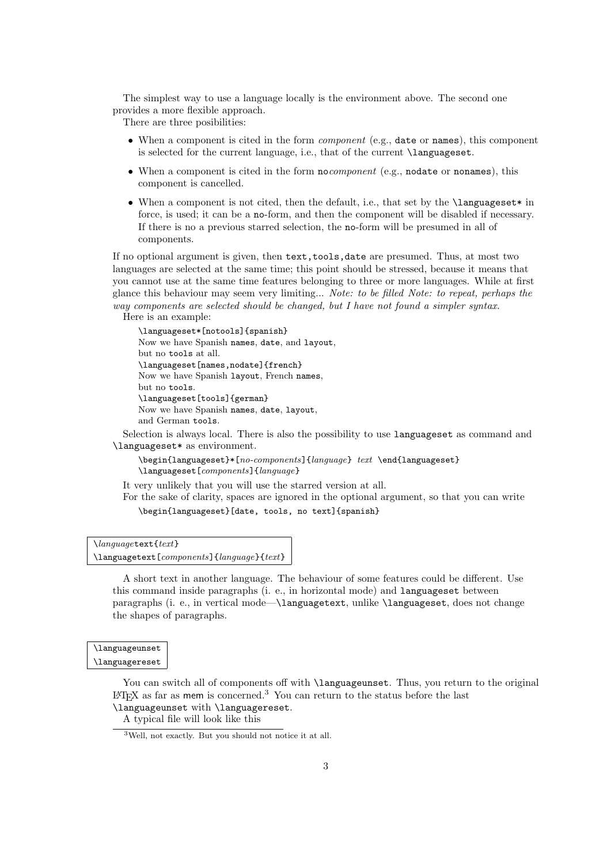The simplest way to use a language locally is the environment above. The second one provides a more flexible approach.

There are three posibilities:

- When a component is cited in the form *component* (e.g., date or names), this component is selected for the current language, i.e., that of the current \languageset.
- When a component is cited in the form nocomponent (e.g., nodate or nonames), this component is cancelled.
- When a component is not cited, then the default, i.e., that set by the **\languageset**\* in force, is used; it can be a no-form, and then the component will be disabled if necessary. If there is no a previous starred selection, the no-form will be presumed in all of components.

If no optional argument is given, then text,tools,date are presumed. Thus, at most two languages are selected at the same time; this point should be stressed, because it means that you cannot use at the same time features belonging to three or more languages. While at first glance this behaviour may seem very limiting... Note: to be filled Note: to repeat, perhaps the way components are selected should be changed, but I have not found a simpler syntax.

Here is an example:

\languageset\*[notools]{spanish} Now we have Spanish names, date, and layout, but no tools at all. \languageset[names,nodate]{french} Now we have Spanish layout, French names, but no tools. \languageset[tools]{german} Now we have Spanish names, date, layout, and German tools.

Selection is always local. There is also the possibility to use languageset as command and \languageset\* as environment.

\begin{languageset}\*[no-components]{language} text \end{languageset} \languageset[components]{language}

It very unlikely that you will use the starred version at all.

For the sake of clarity, spaces are ignored in the optional argument, so that you can write \begin{languageset}[date, tools, no text]{spanish}

```
\languagetext{text}
\languagetext[components]{language}{text}
```
A short text in another language. The behaviour of some features could be different. Use this command inside paragraphs (i. e., in horizontal mode) and languageset between paragraphs (i. e., in vertical mode—\languagetext, unlike \languageset, does not change the shapes of paragraphs.

## \languageunset

\languagereset

You can switch all of components off with **\languageunset**. Thus, you return to the original  $\Delta F$ <sub>EX</sub> as far as mem is concerned.<sup>3</sup> You can return to the status before the last \languageunset with \languagereset.

A typical file will look like this

<sup>3</sup>Well, not exactly. But you should not notice it at all.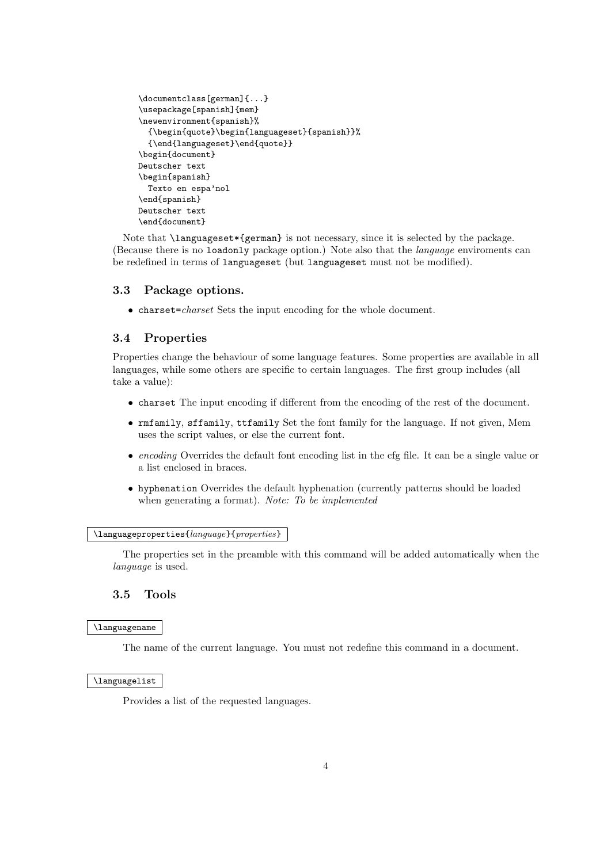```
\documentclass[german]{...}
\usepackage[spanish]{mem}
\newenvironment{spanish}%
  {\begin{quote}\begin{languageset}{spanish}}%
  {\end{languageset}\end{quote}}
\begin{document}
Deutscher text
\begin{spanish}
 Texto en espa'nol
\end{spanish}
Deutscher text
\end{document}
```
Note that **\languageset**\*{german} is not necessary, since it is selected by the package. (Because there is no loadonly package option.) Note also that the language enviroments can be redefined in terms of languageset (but languageset must not be modified).

## 3.3 Package options.

• charset=*charset* Sets the input encoding for the whole document.

## 3.4 Properties

Properties change the behaviour of some language features. Some properties are available in all languages, while some others are specific to certain languages. The first group includes (all take a value):

- charset The input encoding if different from the encoding of the rest of the document.
- rmfamily, sffamily, ttfamily Set the font family for the language. If not given, Mem uses the script values, or else the current font.
- encoding Overrides the default font encoding list in the cfg file. It can be a single value or a list enclosed in braces.
- hyphenation Overrides the default hyphenation (currently patterns should be loaded when generating a format). *Note:* To be implemented

#### \languageproperties{language}{properties}

The properties set in the preamble with this command will be added automatically when the language is used.

## 3.5 Tools

#### \languagename

The name of the current language. You must not redefine this command in a document.

#### \languagelist

Provides a list of the requested languages.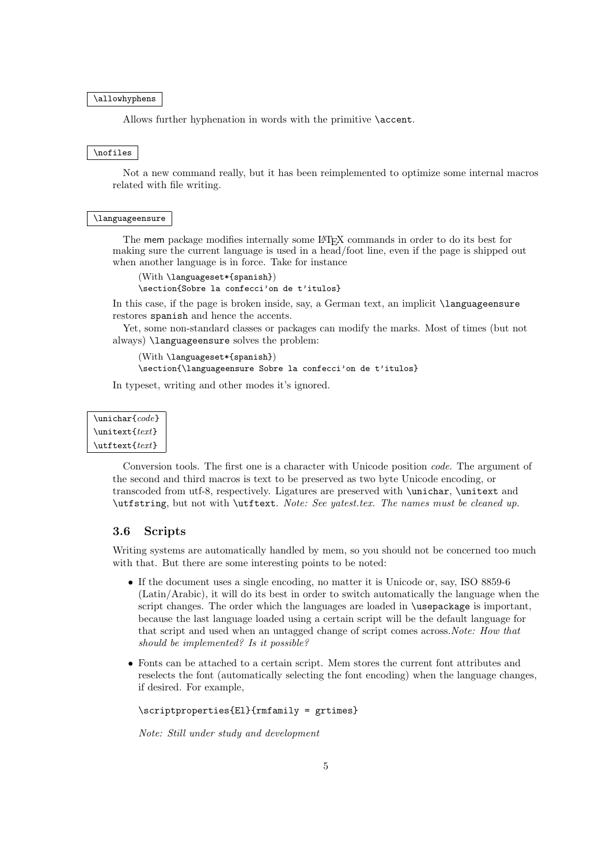#### \allowhyphens

Allows further hyphenation in words with the primitive \accent.

#### \nofiles

Not a new command really, but it has been reimplemented to optimize some internal macros related with file writing.

#### \languageensure

The mem package modifies internally some LATEX commands in order to do its best for making sure the current language is used in a head/foot line, even if the page is shipped out when another language is in force. Take for instance

(With \languageset\*{spanish}) \section{Sobre la confecci'on de t'itulos}

In this case, if the page is broken inside, say, a German text, an implicit **\languageensure** restores spanish and hence the accents.

Yet, some non-standard classes or packages can modify the marks. Most of times (but not always) \languageensure solves the problem:

```
(With \languageset*{spanish})
\section{\languageensure Sobre la confecci'on de t'itulos}
```
In typeset, writing and other modes it's ignored.

```
\unichar{code}
\unitext{text}
\text{text}
```
Conversion tools. The first one is a character with Unicode position code. The argument of the second and third macros is text to be preserved as two byte Unicode encoding, or transcoded from utf-8, respectively. Ligatures are preserved with \unichar, \unitext and \utfstring, but not with \utftext. Note: See yatest.tex. The names must be cleaned up.

### 3.6 Scripts

Writing systems are automatically handled by mem, so you should not be concerned too much with that. But there are some interesting points to be noted:

- If the document uses a single encoding, no matter it is Unicode or, say, ISO 8859-6 (Latin/Arabic), it will do its best in order to switch automatically the language when the script changes. The order which the languages are loaded in **\usepackage** is important, because the last language loaded using a certain script will be the default language for that script and used when an untagged change of script comes across. Note: How that should be implemented? Is it possible?
- Fonts can be attached to a certain script. Mem stores the current font attributes and reselects the font (automatically selecting the font encoding) when the language changes, if desired. For example,

```
\scriptproperties{El}{rmfamily = grtimes}
```
Note: Still under study and development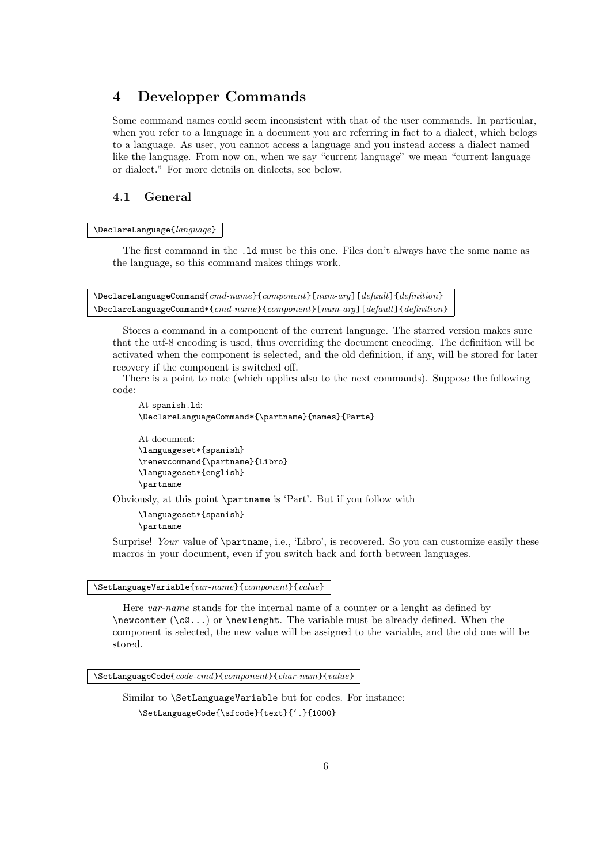## 4 Developper Commands

Some command names could seem inconsistent with that of the user commands. In particular, when you refer to a language in a document you are referring in fact to a dialect, which belogs to a language. As user, you cannot access a language and you instead access a dialect named like the language. From now on, when we say "current language" we mean "current language or dialect." For more details on dialects, see below.

## 4.1 General

### \DeclareLanguage{language}

The first command in the .ld must be this one. Files don't always have the same name as the language, so this command makes things work.

\DeclareLanguageCommand{cmd-name}{component}[num-arg][default]{definition} \DeclareLanguageCommand\*{cmd-name}{component}[num-arg][default]{definition}

Stores a command in a component of the current language. The starred version makes sure that the utf-8 encoding is used, thus overriding the document encoding. The definition will be activated when the component is selected, and the old definition, if any, will be stored for later recovery if the component is switched off.

There is a point to note (which applies also to the next commands). Suppose the following code:

```
At spanish.ld:
\DeclareLanguageCommand*{\partname}{names}{Parte}
At document:
```

```
\languageset*{spanish}
\renewcommand{\partname}{Libro}
\languageset*{english}
\partname
```
Obviously, at this point \partname is 'Part'. But if you follow with

```
\languageset*{spanish}
\partname
```
Surprise! Your value of \partname, i.e., 'Libro', is recovered. So you can customize easily these macros in your document, even if you switch back and forth between languages.

#### \SetLanguageVariable{var-name}{component}{value}

Here var-name stands for the internal name of a counter or a lenght as defined by  $\neq$  (\c $(0...)$  or \newlenght. The variable must be already defined. When the component is selected, the new value will be assigned to the variable, and the old one will be stored.

\SetLanguageCode{code-cmd}{component}{char-num}{value}

Similar to \SetLanguageVariable but for codes. For instance: \SetLanguageCode{\sfcode}{text}{'.}{1000}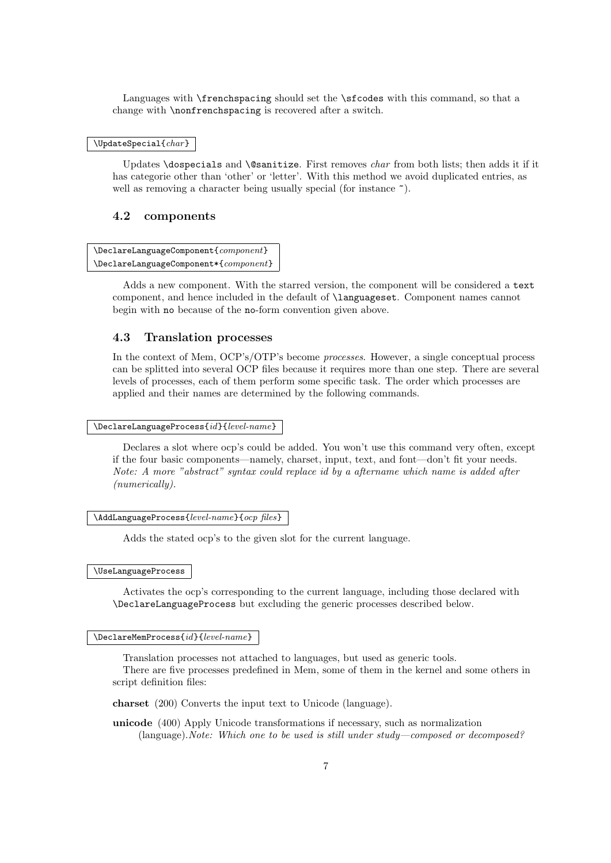Languages with **\frenchspacing** should set the **\sfcodes** with this command, so that a change with \nonfrenchspacing is recovered after a switch.

#### $\Upsilon$ UpdateSpecial{char}

Updates \dospecials and \@sanitize. First removes *char* from both lists; then adds it if it has categorie other than 'other' or 'letter'. With this method we avoid duplicated entries, as well as removing a character being usually special (for instance  $\tilde{\ }$ ).

### 4.2 components

\DeclareLanguageComponent{component} \DeclareLanguageComponent\*{component}

Adds a new component. With the starred version, the component will be considered a text component, and hence included in the default of \languageset. Component names cannot begin with no because of the no-form convention given above.

## 4.3 Translation processes

In the context of Mem, OCP's/OTP's become processes. However, a single conceptual process can be splitted into several OCP files because it requires more than one step. There are several levels of processes, each of them perform some specific task. The order which processes are applied and their names are determined by the following commands.

 $\verb+\Declarel=anguageProcess{id}{level-name}$ 

Declares a slot where ocp's could be added. You won't use this command very often, except if the four basic components—namely, charset, input, text, and font—don't fit your needs. Note: A more "abstract" syntax could replace id by a aftername which name is added after (numerically).

\AddLanguageProcess{level-name}{ocp files}

Adds the stated ocp's to the given slot for the current language.

\UseLanguageProcess

Activates the ocp's corresponding to the current language, including those declared with \DeclareLanguageProcess but excluding the generic processes described below.

#### $\Delta$ PeclareMemProcess{*id*}{*level-name*}

Translation processes not attached to languages, but used as generic tools.

There are five processes predefined in Mem, some of them in the kernel and some others in script definition files:

charset (200) Converts the input text to Unicode (language).

unicode (400) Apply Unicode transformations if necessary, such as normalization (language). Note: Which one to be used is still under study—composed or decomposed?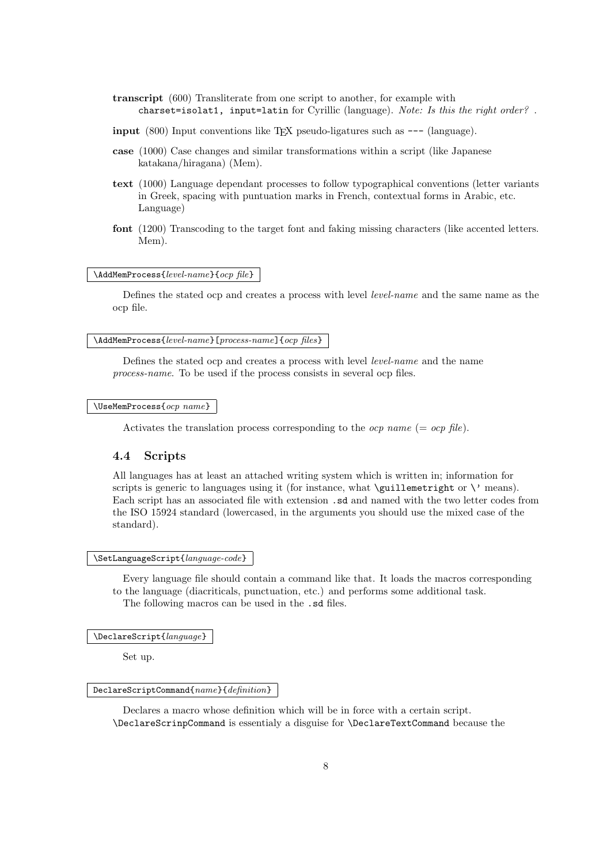- transcript (600) Transliterate from one script to another, for example with charset=isolat1, input=latin for Cyrillic (language). Note: Is this the right order?.
- input  $(800)$  Input conventions like T<sub>EX</sub> pseudo-ligatures such as  $---$  (language).
- case (1000) Case changes and similar transformations within a script (like Japanese katakana/hiragana) (Mem).
- text (1000) Language dependant processes to follow typographical conventions (letter variants in Greek, spacing with puntuation marks in French, contextual forms in Arabic, etc. Language)
- font (1200) Transcoding to the target font and faking missing characters (like accented letters. Mem).

## $\lambda$ AddMemProcess{level-name}{ocp file}

Defines the stated ocp and creates a process with level level-name and the same name as the ocp file.

### \AddMemProcess{level-name}[process-name]{ocp files}

Defines the stated ocp and creates a process with level level-name and the name process-name. To be used if the process consists in several ocp files.

#### $\Upsilon$ SeMemProcess $\{ocp \ name\}$

Activates the translation process corresponding to the *ocp name* (= *ocp file*).

## 4.4 Scripts

All languages has at least an attached writing system which is written in; information for scripts is generic to languages using it (for instance, what  $\quation$  illemetright or  $\iota$  means). Each script has an associated file with extension .sd and named with the two letter codes from the ISO 15924 standard (lowercased, in the arguments you should use the mixed case of the standard).

#### \SetLanguageScript{language-code}

Every language file should contain a command like that. It loads the macros corresponding to the language (diacriticals, punctuation, etc.) and performs some additional task. The following macros can be used in the .sd files.

\DeclareScript{language}

Set up.

#### DeclareScriptCommand{name}{definition}

Declares a macro whose definition which will be in force with a certain script. \DeclareScrinpCommand is essentialy a disguise for \DeclareTextCommand because the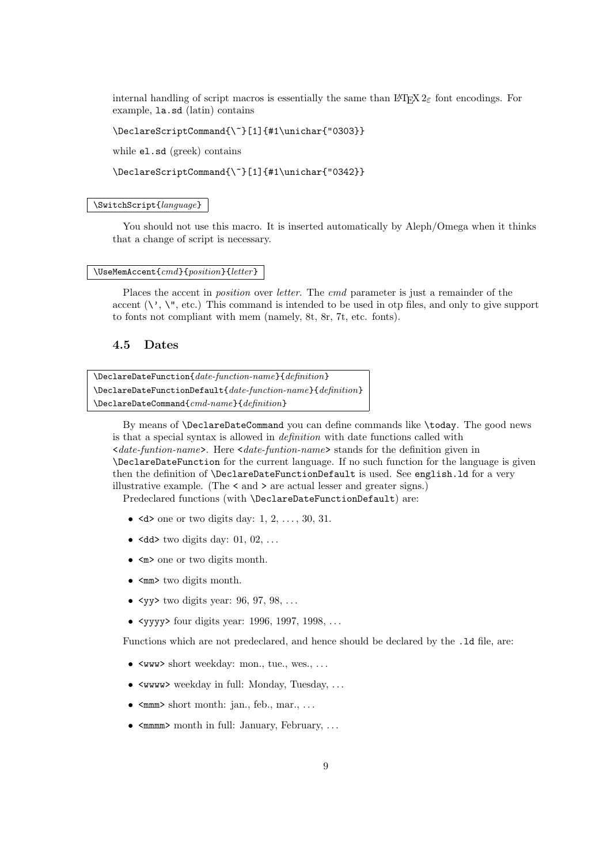internal handling of script macros is essentially the same than LATEX  $2\varepsilon$  font encodings. For example, la.sd (latin) contains

\DeclareScriptCommand{\~}[1]{#1\unichar{"0303}}

while el.sd (greek) contains

\DeclareScriptCommand{\~}[1]{#1\unichar{"0342}}

#### \SwitchScript{language}

You should not use this macro. It is inserted automatically by Aleph/Omega when it thinks that a change of script is necessary.

#### \UseMemAccent{cmd}{position}{letter}

Places the accent in *position* over *letter*. The cmd parameter is just a remainder of the accent  $(\vee, \vee, \vee, \vee)$ . This command is intended to be used in otp files, and only to give support to fonts not compliant with mem (namely, 8t, 8r, 7t, etc. fonts).

## 4.5 Dates

\DeclareDateFunction{date-function-name}{definition} \DeclareDateFunctionDefault{date-function-name}{definition} \DeclareDateCommand{cmd-name}{definition}

By means of \DeclareDateCommand you can define commands like \today. The good news is that a special syntax is allowed in definition with date functions called with  $\leq$  date-funtion-name>. Here  $\leq$  date-funtion-name> stands for the definition given in \DeclareDateFunction for the current language. If no such function for the language is given then the definition of \DeclareDateFunctionDefault is used. See english.ld for a very illustrative example. (The < and > are actual lesser and greater signs.) Predeclared functions (with \DeclareDateFunctionDefault) are:

- $\leq d$  one or two digits day: 1, 2, ..., 30, 31.
- $\langle \text{dd} \rangle$  two digits day: 01, 02, ...
- $\leq m$  one or two digits month.
- $\leq$ mm> two digits month.
- $\langle \text{v} \rangle$  two digits year: 96, 97, 98, ...
- $\langle$ yyy $\rangle$  four digits year: 1996, 1997, 1998, ...

Functions which are not predeclared, and hence should be declared by the .ld file, are:

- $\langle$ ww $\rangle$  short weekday: mon., tue., wes., ...
- <wwww> weekday in full: Monday, Tuesday, . . .
- $\bullet$   $\leq$ mmm> short month: jan., feb., mar., ...
- $\bullet$   $\leq$ mmm $\geq$  month in full: January, February, ...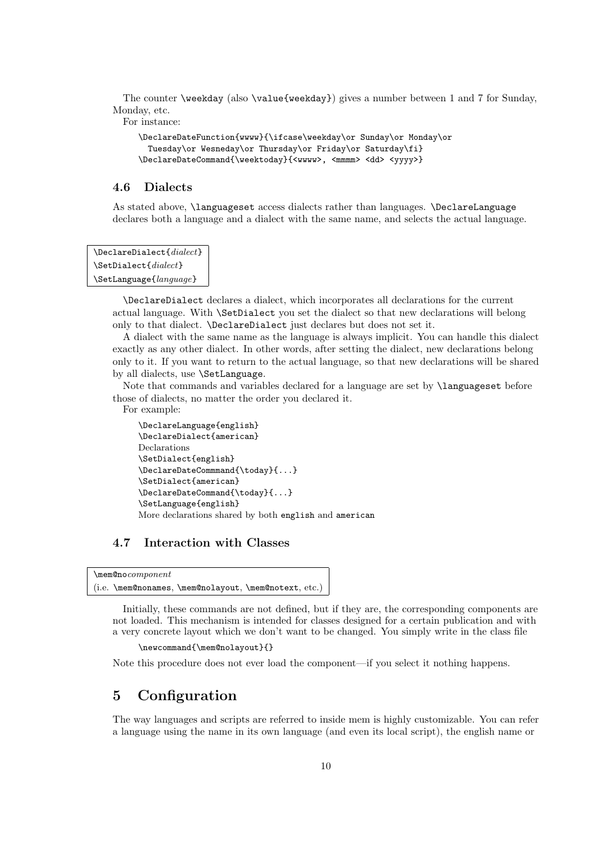The counter \weekday (also \value{weekday}) gives a number between 1 and 7 for Sunday, Monday, etc.

For instance:

```
\DeclareDateFunction{wwww}{\ifcase\weekday\or Sunday\or Monday\or
 Tuesday\or Wesneday\or Thursday\or Friday\or Saturday\fi}
\DeclareDateCommand{\weektoday}{<wwww>, <mmmm> <dd> <yyyy>}
```
## 4.6 Dialects

As stated above, \languageset access dialects rather than languages. \DeclareLanguage declares both a language and a dialect with the same name, and selects the actual language.

```
\DeclareDialect{dialect}
\SetDialect{dialect}
\SetLanguage{language}
```
\DeclareDialect declares a dialect, which incorporates all declarations for the current actual language. With \SetDialect you set the dialect so that new declarations will belong only to that dialect. \DeclareDialect just declares but does not set it.

A dialect with the same name as the language is always implicit. You can handle this dialect exactly as any other dialect. In other words, after setting the dialect, new declarations belong only to it. If you want to return to the actual language, so that new declarations will be shared by all dialects, use \SetLanguage.

Note that commands and variables declared for a language are set by \languageset before those of dialects, no matter the order you declared it.

For example:

```
\DeclareLanguage{english}
\DeclareDialect{american}
Declarations
\SetDialect{english}
\DeclareDateCommmand{\today}{...}
\SetDialect{american}
\DeclareDateCommand{\today}{...}
\SetLanguage{english}
More declarations shared by both english and american
```
## 4.7 Interaction with Classes

```
\mem@nocomponent
(i.e. \mem@nonames, \mem@nolayout, \mem@notext, etc.)
```
Initially, these commands are not defined, but if they are, the corresponding components are not loaded. This mechanism is intended for classes designed for a certain publication and with a very concrete layout which we don't want to be changed. You simply write in the class file

\newcommand{\mem@nolayout}{}

Note this procedure does not ever load the component—if you select it nothing happens.

## 5 Configuration

The way languages and scripts are referred to inside mem is highly customizable. You can refer a language using the name in its own language (and even its local script), the english name or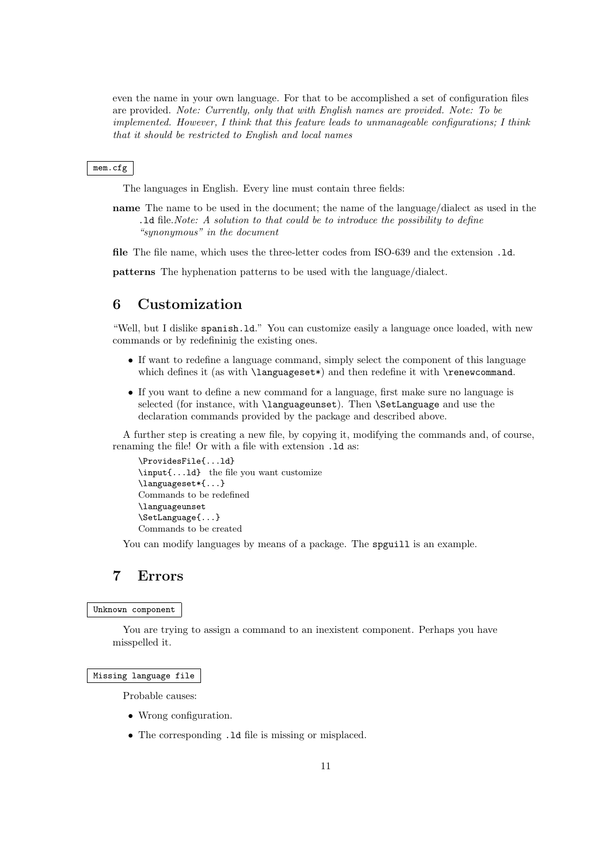even the name in your own language. For that to be accomplished a set of configuration files are provided. Note: Currently, only that with English names are provided. Note: To be implemented. However, I think that this feature leads to unmanageable configurations; I think that it should be restricted to English and local names

#### mem.cfg

The languages in English. Every line must contain three fields:

name The name to be used in the document; the name of the language/dialect as used in the .ld file.Note: A solution to that could be to introduce the possibility to define "synonymous" in the document

file The file name, which uses the three-letter codes from ISO-639 and the extension .ld.

patterns The hyphenation patterns to be used with the language/dialect.

## 6 Customization

"Well, but I dislike spanish.ld." You can customize easily a language once loaded, with new commands or by redefininig the existing ones.

- If want to redefine a language command, simply select the component of this language which defines it (as with **\languageset\*)** and then redefine it with **\renewcommand**.
- If you want to define a new command for a language, first make sure no language is selected (for instance, with \languageunset). Then \SetLanguage and use the declaration commands provided by the package and described above.

A further step is creating a new file, by copying it, modifying the commands and, of course, renaming the file! Or with a file with extension .ld as:

```
\ProvidesFile{...ld}
\input{...ld} the file you want customize
\languageset*{...}
Commands to be redefined
\languageunset
\SetLanguage{...}
Commands to be created
```
You can modify languages by means of a package. The spguill is an example.

## 7 Errors

### Unknown component

You are trying to assign a command to an inexistent component. Perhaps you have misspelled it.

#### Missing language file

Probable causes:

- Wrong configuration.
- The corresponding .1d file is missing or misplaced.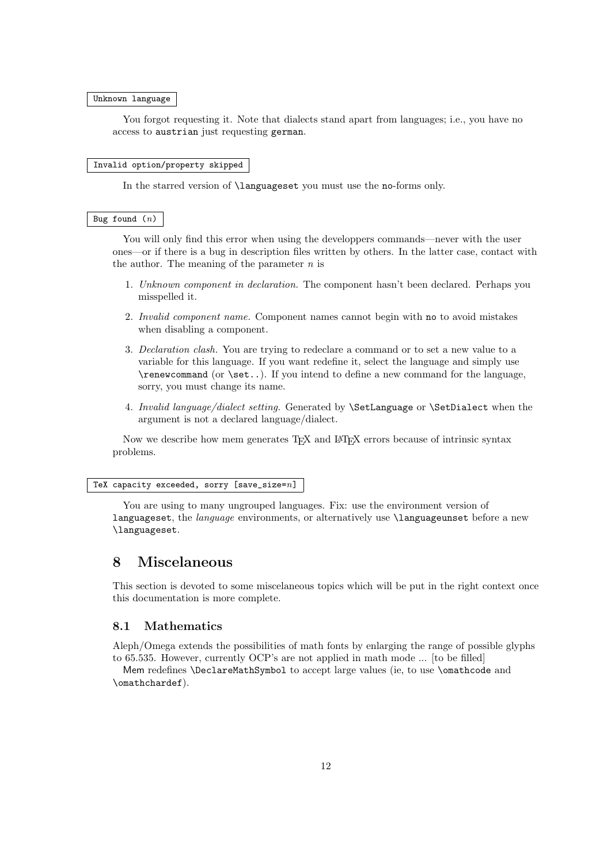#### Unknown language

You forgot requesting it. Note that dialects stand apart from languages; i.e., you have no access to austrian just requesting german.

#### Invalid option/property skipped

In the starred version of **\languageset** you must use the no-forms only.

#### Bug found  $(n)$

You will only find this error when using the developpers commands—never with the user ones—or if there is a bug in description files written by others. In the latter case, contact with the author. The meaning of the parameter  $n$  is

- 1. Unknown component in declaration. The component hasn't been declared. Perhaps you misspelled it.
- 2. Invalid component name. Component names cannot begin with no to avoid mistakes when disabling a component.
- 3. Declaration clash. You are trying to redeclare a command or to set a new value to a variable for this language. If you want redefine it, select the language and simply use \renewcommand (or \set..). If you intend to define a new command for the language, sorry, you must change its name.
- 4. Invalid language/dialect setting. Generated by \SetLanguage or \SetDialect when the argument is not a declared language/dialect.

Now we describe how mem generates T<sub>EX</sub> and L<sup>AT</sup>EX errors because of intrinsic syntax problems.

#### TeX capacity exceeded, sorry [save\_size= $n$ ]

You are using to many ungrouped languages. Fix: use the environment version of languageset, the *language* environments, or alternatively use **\languageunset** before a new \languageset.

## 8 Miscelaneous

This section is devoted to some miscelaneous topics which will be put in the right context once this documentation is more complete.

## 8.1 Mathematics

Aleph/Omega extends the possibilities of math fonts by enlarging the range of possible glyphs to 65.535. However, currently OCP's are not applied in math mode ... [to be filled]

Mem redefines \DeclareMathSymbol to accept large values (ie, to use \omathcode and \omathchardef).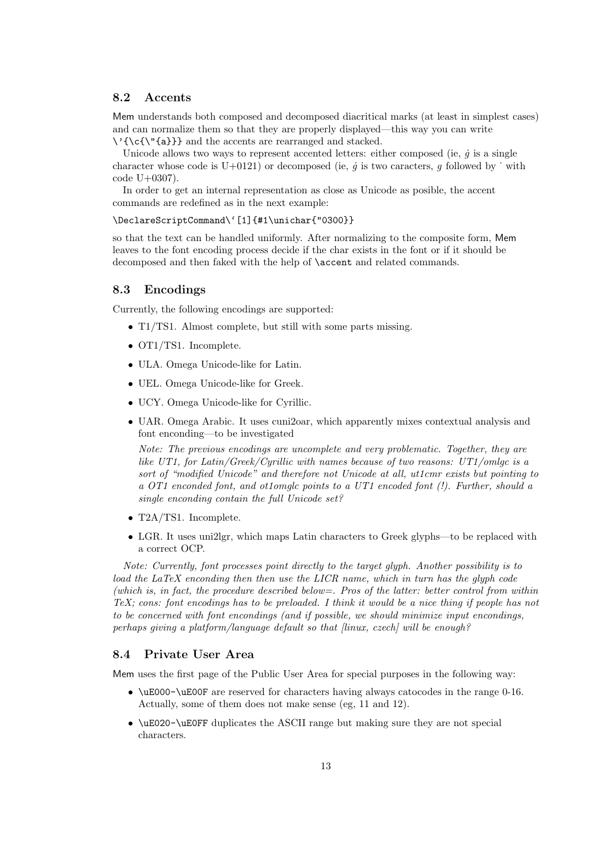### 8.2 Accents

Mem understands both composed and decomposed diacritical marks (at least in simplest cases) and can normalize them so that they are properly displayed—this way you can write \'{\c{\"{a}}} and the accents are rearranged and stacked.

Unicode allows two ways to represent accented letters: either composed (ie,  $\dot{q}$  is a single character whose code is U+0121) or decomposed (ie,  $\dot{q}$  is two caracters, g followed by  $\dot{v}$  with code U+0307).

In order to get an internal representation as close as Unicode as posible, the accent commands are redefined as in the next example:

#### \DeclareScriptCommand\'[1]{#1\unichar{"0300}}

so that the text can be handled uniformly. After normalizing to the composite form, Mem leaves to the font encoding process decide if the char exists in the font or if it should be decomposed and then faked with the help of \accent and related commands.

### 8.3 Encodings

Currently, the following encodings are supported:

- T1/TS1. Almost complete, but still with some parts missing.
- OT1/TS1. Incomplete.
- ULA. Omega Unicode-like for Latin.
- UEL. Omega Unicode-like for Greek.
- UCY. Omega Unicode-like for Cyrillic.
- UAR. Omega Arabic. It uses cuni2oar, which apparently mixes contextual analysis and font enconding—to be investigated

Note: The previous encodings are uncomplete and very problematic. Together, they are like UT1, for Latin/Greek/Cyrillic with names because of two reasons: UT1/omlgc is a sort of "modified Unicode" and therefore not Unicode at all, ut1cmr exists but pointing to a OT1 enconded font, and ot1omglc points to a UT1 encoded font (!). Further, should a single enconding contain the full Unicode set?

- T2A/TS1. Incomplete.
- LGR. It uses uni2lgr, which maps Latin characters to Greek glyphs—to be replaced with a correct OCP.

Note: Currently, font processes point directly to the target glyph. Another possibility is to load the LaTeX enconding then then use the LICR name, which in turn has the glyph code (which is, in fact, the procedure described below=. Pros of the latter: better control from within TeX; cons: font encodings has to be preloaded. I think it would be a nice thing if people has not to be concerned with font encondings (and if possible, we should minimize input encondings, perhaps giving a platform/language default so that  $\lim_{x \to \infty}$  czech] will be enough?

## 8.4 Private User Area

Mem uses the first page of the Public User Area for special purposes in the following way:

- \uE000-\uE00F are reserved for characters having always catocodes in the range 0-16. Actually, some of them does not make sense (eg, 11 and 12).
- \uE020-\uE0FF duplicates the ASCII range but making sure they are not special characters.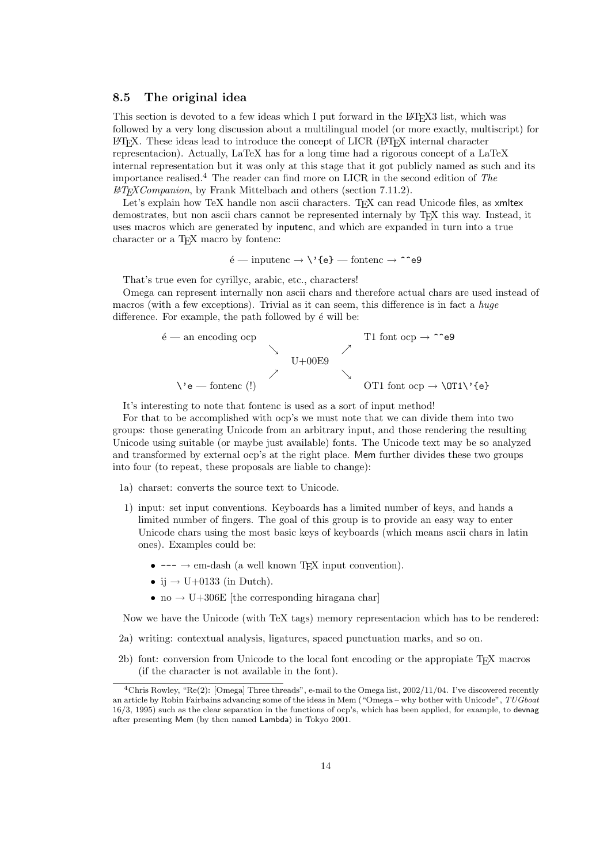### 8.5 The original idea

This section is devoted to a few ideas which I put forward in the LATEX3 list, which was followed by a very long discussion about a multilingual model (or more exactly, multiscript) for LATEX. These ideas lead to introduce the concept of LICR (LATEX internal character representacion). Actually, LaTeX has for a long time had a rigorous concept of a LaTeX internal representation but it was only at this stage that it got publicly named as such and its importance realised.<sup>4</sup> The reader can find more on LICR in the second edition of The  $\mu_{TFXCompanion}$ , by Frank Mittelbach and others (section 7.11.2).

Let's explain how TeX handle non ascii characters. T<sub>EX</sub> can read Unicode files, as xmltex demostrates, but non ascii chars cannot be represented internaly by T<sub>E</sub>X this way. Instead, it uses macros which are generated by inputenc, and which are expanded in turn into a true character or a T<sub>E</sub>X macro by fontenc:

$$
\acute{\rm e}-\rm{inputenc}\rightarrow\mathrm{\backslash}\mathrm{^{\star}fe}\mathrm{\rbrace}-\rm{fontenc}\rightarrow\mathrm{\char'133}e9
$$

That's true even for cyrillyc, arabic, etc., characters!

Omega can represent internally non ascii chars and therefore actual chars are used instead of macros (with a few exceptions). Trivial as it can seem, this difference is in fact a *huge* difference. For example, the path followed by  $\acute{e}$  will be:

$$
\begin{array}{ccccc}\n\text{\'e} & \text{an encoding } \text{op} & & \text{T1 font } \text{otp} & \text{op} \rightarrow \text{``e9} \\
& & \searrow & & \searrow & & \searrow & \\
& & \searrow & & \searrow & & \\
& & \searrow & & \searrow & & \\
& & \searrow & & \searrow & & \\
& & \searrow & & \searrow & & \\
& & \searrow & & \searrow & & \\
& & \searrow & & \searrow & & \\
& & \searrow & & \searrow & & \searrow & \\
& & \searrow & & \searrow & & \searrow & \\
& & \searrow & & \searrow & & \searrow & \\
& & \searrow & & \searrow & & \searrow & \\
& & \searrow & & \searrow & & \searrow & & \searrow & \\
& & \searrow & & \searrow & & \searrow & & \searrow & \\
& & \searrow & & \searrow & & \searrow & & \searrow & \\
& & \searrow & & \searrow & & \searrow & & \searrow & \\
& & \searrow & & \searrow & & \searrow & & \searrow & \\
& & \searrow & & \searrow & & \searrow & & \searrow & \\
& & \searrow & & \searrow & & \searrow & & \searrow & \\
& & \searrow & & \searrow & & \searrow & & \searrow & \\
& & \searrow & & \searrow & & \searrow & & \searrow & \\
& & \searrow & & \searrow & & \searrow & & \searrow & \\
& & \searrow & & \searrow & & \searrow & & \searrow & \\
& & \searrow & & \searrow & & \searrow & & \searrow & \\
& & \searrow & & \searrow & & \searrow & & \searrow & \\
& & \searrow & & \searrow & & \searrow & & \searrow & \\
& & \searrow & & \searrow & & \searrow & & \searrow & \\
& & \searrow & & \searrow & & \searrow & & \searrow & \\
& & \searrow & & \searrow & & \searrow & & \searrow & \\
& & \searrow & & \searrow & & \searrow & & \searrow & \\
& & \searrow & & \searrow & & \searrow & & \searrow & \\
& & \searrow & & \searrow & & \searrow & & \searrow & \\
& & \searrow & & \searrow & & \searrow & & \searrow & \\
& & \searrow & & \searrow & & \searrow & & \searrow & \\
& & \searrow & & \searrow & & \searrow & & \searrow & \\
& & \searrow & & \searrow & & \searrow & & \searrow & \\
& & \searrow & & \searrow & & \
$$

It's interesting to note that fontenc is used as a sort of input method!

For that to be accomplished with ocp's we must note that we can divide them into two groups: those generating Unicode from an arbitrary input, and those rendering the resulting Unicode using suitable (or maybe just available) fonts. The Unicode text may be so analyzed and transformed by external ocp's at the right place. Mem further divides these two groups into four (to repeat, these proposals are liable to change):

- 1a) charset: converts the source text to Unicode.
- 1) input: set input conventions. Keyboards has a limited number of keys, and hands a limited number of fingers. The goal of this group is to provide an easy way to enter Unicode chars using the most basic keys of keyboards (which means ascii chars in latin ones). Examples could be:
	- $\bullet$  ---  $\rightarrow$  em-dash (a well known T<sub>E</sub>X input convention).
	- ij  $\rightarrow$  U+0133 (in Dutch).
	- no  $\rightarrow$  U+306E [the corresponding hiragana char]

Now we have the Unicode (with TeX tags) memory representacion which has to be rendered:

- 2a) writing: contextual analysis, ligatures, spaced punctuation marks, and so on.
- 2b) font: conversion from Unicode to the local font encoding or the appropiate TEX macros (if the character is not available in the font).

<sup>4</sup>Chris Rowley, "Re(2): [Omega] Three threads", e-mail to the Omega list, 2002/11/04. I've discovered recently an article by Robin Fairbains advancing some of the ideas in Mem ("Omega – why bother with Unicode", TUGboat 16/3, 1995) such as the clear separation in the functions of ocp's, which has been applied, for example, to devnag after presenting Mem (by then named Lambda) in Tokyo 2001.